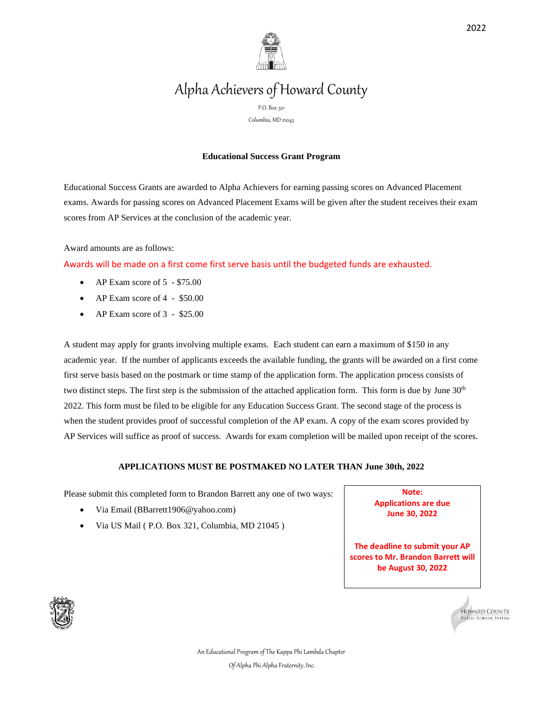

# Alpha Achievers of Howard County

P.O. Box 321

Columbia, MD 21045

## **Educational Success Grant Program**

Educational Success Grants are awarded to Alpha Achievers for earning passing scores on Advanced Placement exams. Awards for passing scores on Advanced Placement Exams will be given after the student receives their exam scores from AP Services at the conclusion of the academic year.

Award amounts are as follows:

Awards will be made on a first come first serve basis until the budgeted funds are exhausted.

- AP Exam score of 5 \$75.00
- AP Exam score of 4 \$50.00
- AP Exam score of 3 \$25.00

A student may apply for grants involving multiple exams. Each student can earn a maximum of \$150 in any academic year. If the number of applicants exceeds the available funding, the grants will be awarded on a first come first serve basis based on the postmark or time stamp of the application form. The application process consists of two distinct steps. The first step is the submission of the attached application form. This form is due by June  $30<sup>th</sup>$ 2022. This form must be filed to be eligible for any Education Success Grant. The second stage of the process is when the student provides proof of successful completion of the AP exam. A copy of the exam scores provided by AP Services will suffice as proof of success. Awards for exam completion will be mailed upon receipt of the scores.

### **APPLICATIONS MUST BE POSTMAKED NO LATER THAN June 30th, 2022**

Please submit this completed form to Brandon Barrett any one of two ways:

- Via Email (BBarrett1906@yahoo.com)
- Via US Mail ( P.O. Box 321, Columbia, MD 21045 )

**Note: Applications are due June 30, 2022**

**The deadline to submit your AP scores to Mr. Brandon Barrett will be August 30**, **2022**





An Educational Program of The Kappa Phi Lambda Chapter Of Alpha Phi Alpha Fraternity, Inc.